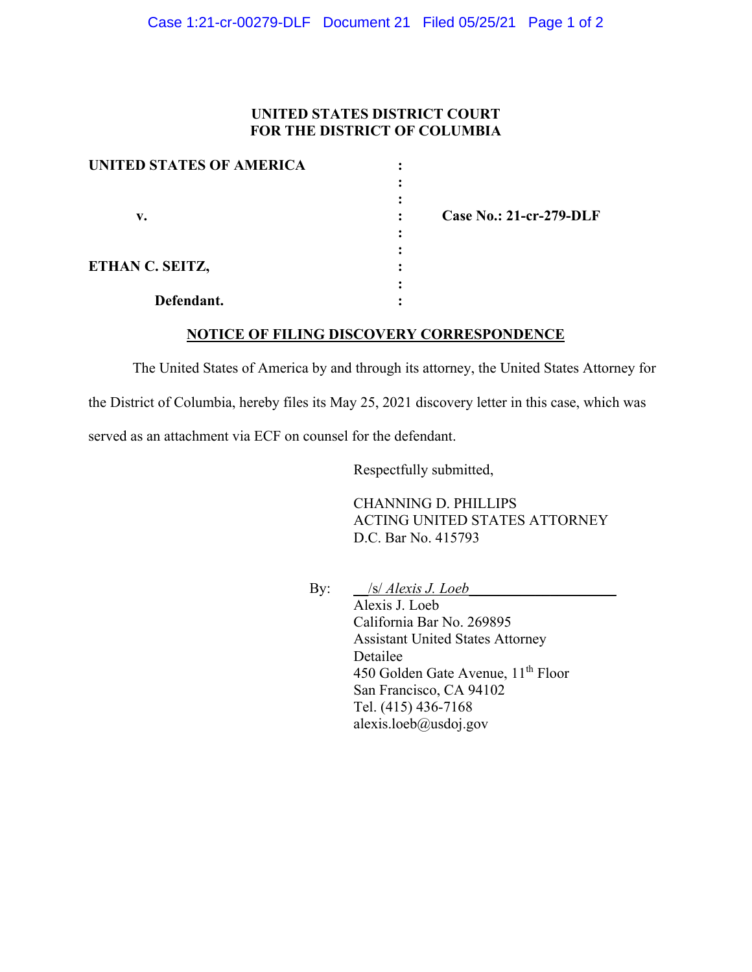## **UNITED STATES DISTRICT COURT FOR THE DISTRICT OF COLUMBIA**

| <b>UNITED STATES OF AMERICA</b> |  |
|---------------------------------|--|
|                                 |  |
|                                 |  |
| v.                              |  |
|                                 |  |
|                                 |  |
| ETHAN C. SEITZ,                 |  |
|                                 |  |
| Defendant.                      |  |

 **v. : Case No.: 21-cr-279-DLF**

## **NOTICE OF FILING DISCOVERY CORRESPONDENCE**

The United States of America by and through its attorney, the United States Attorney for the District of Columbia, hereby files its May 25, 2021 discovery letter in this case, which was served as an attachment via ECF on counsel for the defendant.

Respectfully submitted,

CHANNING D. PHILLIPS ACTING UNITED STATES ATTORNEY D.C. Bar No. 415793

By: \_\_/s/ *Alexis J. Loeb\_\_\_\_\_\_\_\_\_\_\_\_\_\_\_\_\_\_\_\_*

Alexis J. Loeb California Bar No. 269895 Assistant United States Attorney Detailee 450 Golden Gate Avenue, 11<sup>th</sup> Floor San Francisco, CA 94102 Tel. (415) 436-7168 alexis.loeb@usdoj.gov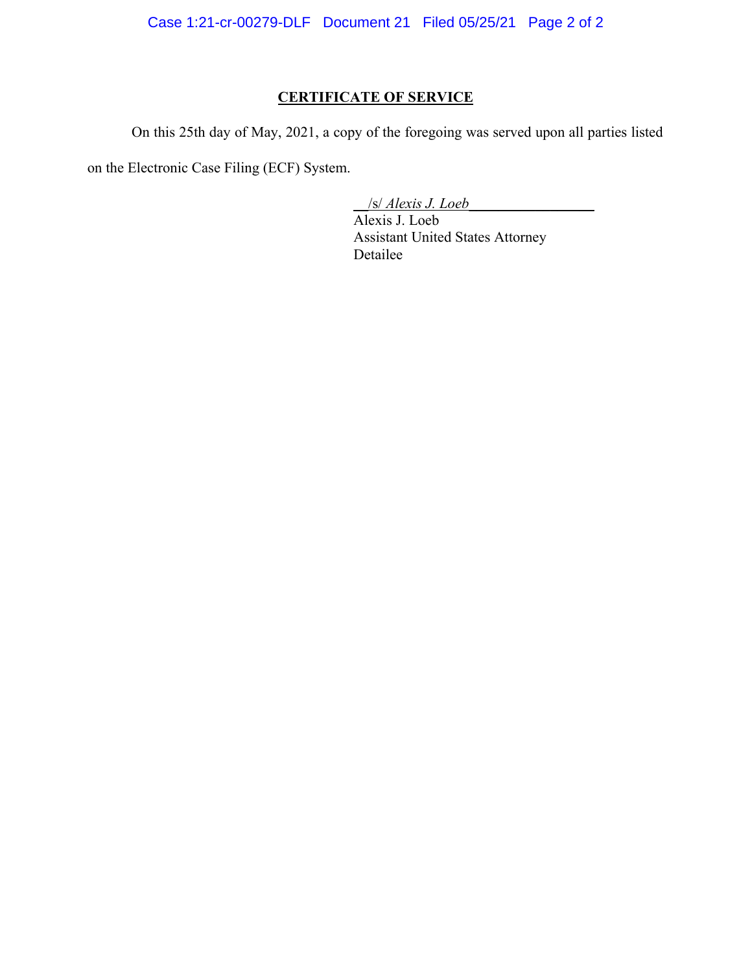Case 1:21-cr-00279-DLF Document 21 Filed 05/25/21 Page 2 of 2

## **CERTIFICATE OF SERVICE**

On this 25th day of May, 2021, a copy of the foregoing was served upon all parties listed

on the Electronic Case Filing (ECF) System.

\_\_/s/ *Alexis J. Loeb\_\_\_\_\_\_\_\_\_\_\_\_\_\_\_\_\_*

Alexis J. Loeb Assistant United States Attorney Detailee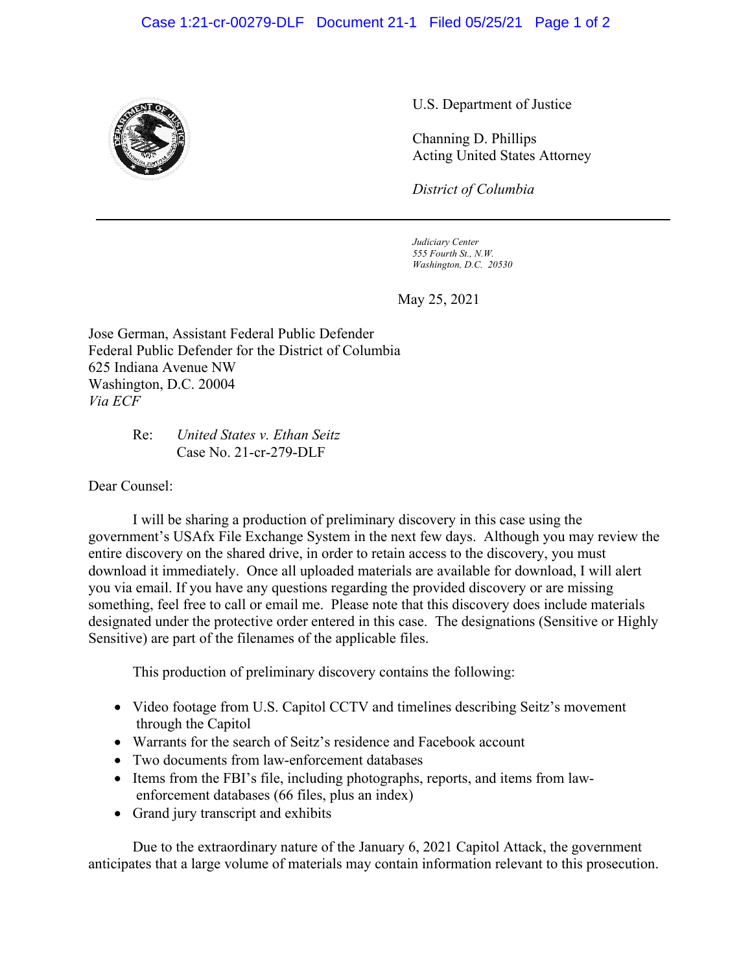## Case 1:21-cr-00279-DLF Document 21-1 Filed 05/25/21 Page 1 of 2



U.S. Department of Justice

Channing D. Phillips Acting United States Attorney

*District of Columbia*

*Judiciary Center 555 Fourth St., N.W. Washington, D.C. 20530*

May 25, 2021

Jose German, Assistant Federal Public Defender Federal Public Defender for the District of Columbia 625 Indiana Avenue NW Washington, D.C. 20004 *Via ECF*

> Re: *United States v. Ethan Seitz* Case No. 21-cr-279-DLF

Dear Counsel:

I will be sharing a production of preliminary discovery in this case using the government's USAfx File Exchange System in the next few days. Although you may review the entire discovery on the shared drive, in order to retain access to the discovery, you must download it immediately. Once all uploaded materials are available for download, I will alert you via email. If you have any questions regarding the provided discovery or are missing something, feel free to call or email me. Please note that this discovery does include materials designated under the protective order entered in this case.The designations (Sensitive or Highly Sensitive) are part of the filenames of the applicable files.

This production of preliminary discovery contains the following:

- Video footage from U.S. Capitol CCTV and timelines describing Seitz's movement through the Capitol
- Warrants for the search of Seitz's residence and Facebook account
- Two documents from law-enforcement databases
- Items from the FBI's file, including photographs, reports, and items from lawenforcement databases (66 files, plus an index)
- Grand jury transcript and exhibits

Due to the extraordinary nature of the January 6, 2021 Capitol Attack, the government anticipates that a large volume of materials may contain information relevant to this prosecution.